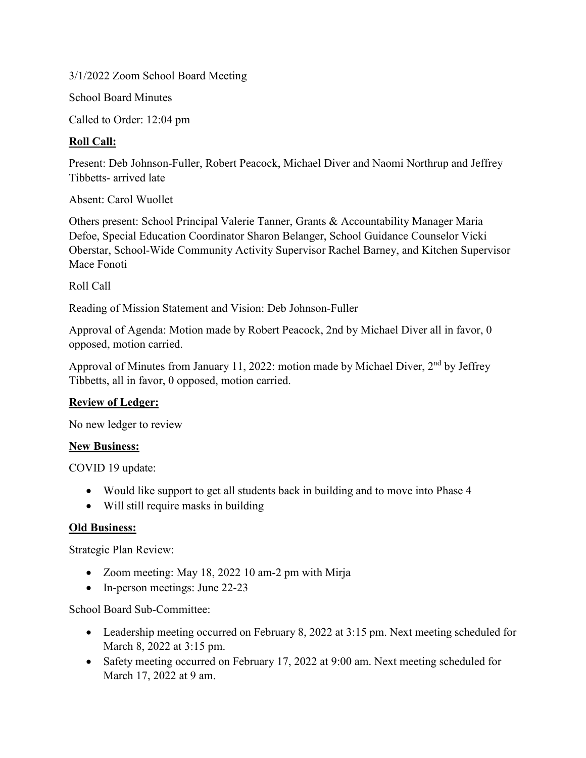3/1/2022 Zoom School Board Meeting

School Board Minutes

Called to Order: 12:04 pm

# **Roll Call:**

Present: Deb Johnson-Fuller, Robert Peacock, Michael Diver and Naomi Northrup and Jeffrey Tibbetts- arrived late

Absent: Carol Wuollet

Others present: School Principal Valerie Tanner, Grants & Accountability Manager Maria Defoe, Special Education Coordinator Sharon Belanger, School Guidance Counselor Vicki Oberstar, School-Wide Community Activity Supervisor Rachel Barney, and Kitchen Supervisor Mace Fonoti

Roll Call

Reading of Mission Statement and Vision: Deb Johnson-Fuller

Approval of Agenda: Motion made by Robert Peacock, 2nd by Michael Diver all in favor, 0 opposed, motion carried.

Approval of Minutes from January 11, 2022: motion made by Michael Diver, 2<sup>nd</sup> by Jeffrey Tibbetts, all in favor, 0 opposed, motion carried.

## **Review of Ledger:**

No new ledger to review

## **New Business:**

COVID 19 update:

- Would like support to get all students back in building and to move into Phase 4
- Will still require masks in building

#### **Old Business:**

Strategic Plan Review:

- Zoom meeting: May 18, 2022 10 am-2 pm with Mirja
- In-person meetings: June 22-23

School Board Sub-Committee:

- Leadership meeting occurred on February 8, 2022 at 3:15 pm. Next meeting scheduled for March 8, 2022 at 3:15 pm.
- Safety meeting occurred on February 17, 2022 at 9:00 am. Next meeting scheduled for March 17, 2022 at 9 am.